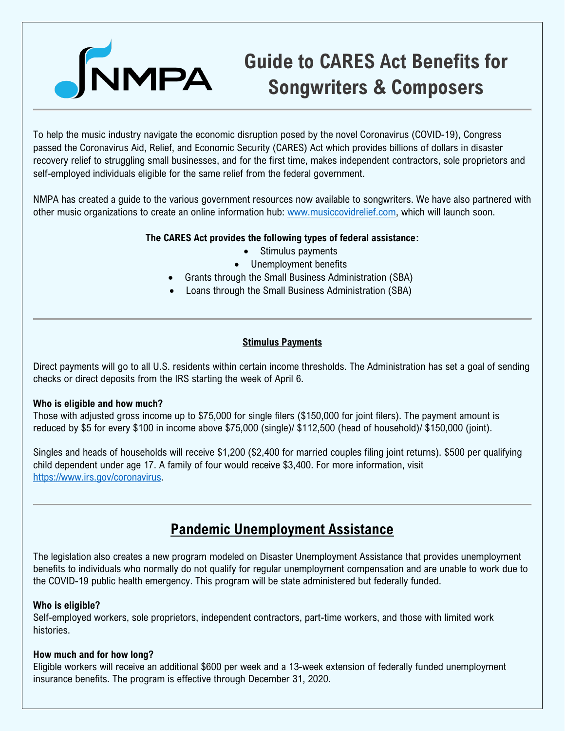

# **Guide to CARES Act Benefits for Songwriters & Composers**

To help the music industry navigate the economic disruption posed by the novel Coronavirus (COVID-19), Congress passed the Coronavirus Aid, Relief, and Economic Security (CARES) Act which provides billions of dollars in disaster recovery relief to struggling small businesses, and for the first time, makes independent contractors, sole proprietors and self-employed individuals eligible for the same relief from the federal government.

NMPA has created a guide to the various government resources now available to songwriters. We have also partnered with other music organizations to create an online information hub: [www.musiccovidrelief.com,](http://www.musiccovidrelief.com/) which will launch soon.

# **The CARES Act provides the following types of federal assistance:**

- Stimulus payments
- Unemployment benefits
- Grants through the Small Business Administration (SBA)
- Loans through the Small Business Administration (SBA)

# **Stimulus Payments**

Direct payments will go to all U.S. residents within certain income thresholds. The Administration has set a goal of sending checks or direct deposits from the IRS starting the week of April 6.

### **Who is eligible and how much?**

Those with adjusted gross income up to \$75,000 for single filers (\$150,000 for joint filers). The payment amount is reduced by \$5 for every \$100 in income above \$75,000 (single)/ \$112,500 (head of household)/ \$150,000 (joint).

Singles and heads of households will receive \$1,200 (\$2,400 for married couples filing joint returns). \$500 per qualifying child dependent under age 17. A family of four would receive \$3,400. For more information, visit [https://www.irs.gov/coronavirus.](https://www.irs.gov/coronavirus)

# **Pandemic Unemployment Assistance**

The legislation also creates a new program modeled on Disaster Unemployment Assistance that provides unemployment benefits to individuals who normally do not qualify for regular unemployment compensation and are unable to work due to the COVID-19 public health emergency. This program will be state administered but federally funded.

### **Who is eligible?**

Self-employed workers, sole proprietors, independent contractors, part-time workers, and those with limited work histories.

### **How much and for how long?**

Eligible workers will receive an additional \$600 per week and a 13-week extension of federally funded unemployment insurance benefits. The program is effective through December 31, 2020.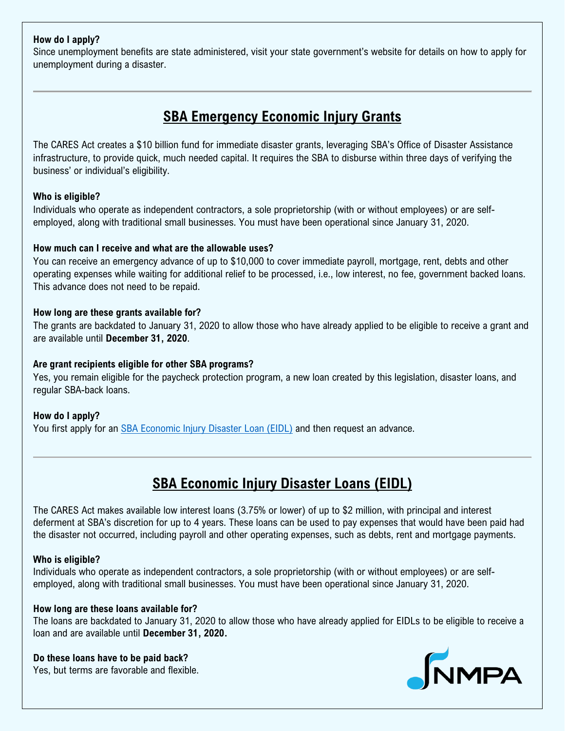# **How do I apply?**

Since unemployment benefits are state administered, visit your state government's website for details on how to apply for unemployment during a disaster.

# **SBA Emergency Economic Injury Grants**

The CARES Act creates a \$10 billion fund for immediate disaster grants, leveraging SBA's Office of Disaster Assistance infrastructure, to provide quick, much needed capital. It requires the SBA to disburse within three days of verifying the business' or individual's eligibility.

# **Who is eligible?**

Individuals who operate as independent contractors, a sole proprietorship (with or without employees) or are selfemployed, along with traditional small businesses. You must have been operational since January 31, 2020.

# **How much can I receive and what are the allowable uses?**

You can receive an emergency advance of up to \$10,000 to cover immediate payroll, mortgage, rent, debts and other operating expenses while waiting for additional relief to be processed, i.e., low interest, no fee, government backed loans. This advance does not need to be repaid.

# **How long are these grants available for?**

The grants are backdated to January 31, 2020 to allow those who have already applied to be eligible to receive a grant and are available until **December 31, 2020**.

### **Are grant recipients eligible for other SBA programs?**

Yes, you remain eligible for the paycheck protection program, a new loan created by this legislation, disaster loans, and regular SBA-back loans.

### **How do I apply?**

You first apply for an [SBA Economic Injury Disaster Loan \(EIDL\)](https://www.sba.gov/disaster/apply-for-disaster-loan/index.html) and then request an advance.

# **SBA Economic Injury Disaster Loans (EIDL)**

The CARES Act makes available low interest loans (3.75% or lower) of up to \$2 million, with principal and interest deferment at SBA's discretion for up to 4 years. These loans can be used to pay expenses that would have been paid had the disaster not occurred, including payroll and other operating expenses, such as debts, rent and mortgage payments.

### **Who is eligible?**

Individuals who operate as independent contractors, a sole proprietorship (with or without employees) or are selfemployed, along with traditional small businesses. You must have been operational since January 31, 2020.

### **How long are these loans available for?**

The loans are backdated to January 31, 2020 to allow those who have already applied for EIDLs to be eligible to receive a loan and are available until **December 31, 2020.**

### **Do these loans have to be paid back?**

Yes, but terms are favorable and flexible.